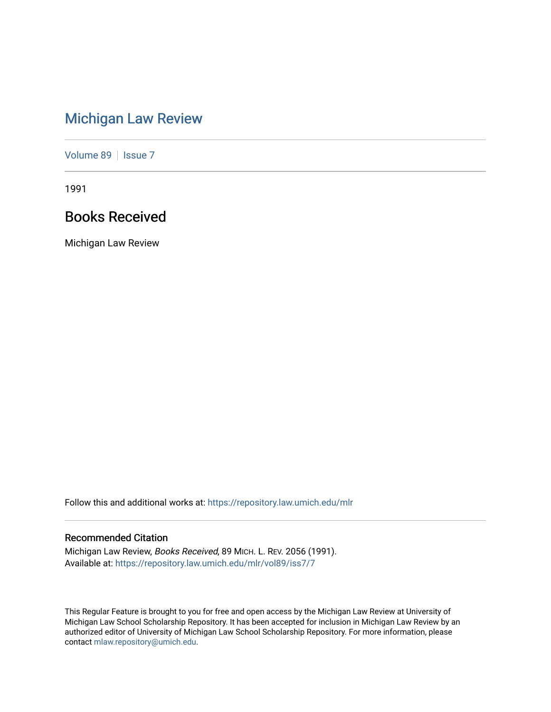# [Michigan Law Review](https://repository.law.umich.edu/mlr)

[Volume 89](https://repository.law.umich.edu/mlr/vol89) | [Issue 7](https://repository.law.umich.edu/mlr/vol89/iss7)

1991

# Books Received

Michigan Law Review

Follow this and additional works at: [https://repository.law.umich.edu/mlr](https://repository.law.umich.edu/mlr?utm_source=repository.law.umich.edu%2Fmlr%2Fvol89%2Fiss7%2F7&utm_medium=PDF&utm_campaign=PDFCoverPages) 

# Recommended Citation

Michigan Law Review, Books Received, 89 MICH. L. REV. 2056 (1991). Available at: [https://repository.law.umich.edu/mlr/vol89/iss7/7](https://repository.law.umich.edu/mlr/vol89/iss7/7?utm_source=repository.law.umich.edu%2Fmlr%2Fvol89%2Fiss7%2F7&utm_medium=PDF&utm_campaign=PDFCoverPages)

This Regular Feature is brought to you for free and open access by the Michigan Law Review at University of Michigan Law School Scholarship Repository. It has been accepted for inclusion in Michigan Law Review by an authorized editor of University of Michigan Law School Scholarship Repository. For more information, please contact [mlaw.repository@umich.edu](mailto:mlaw.repository@umich.edu).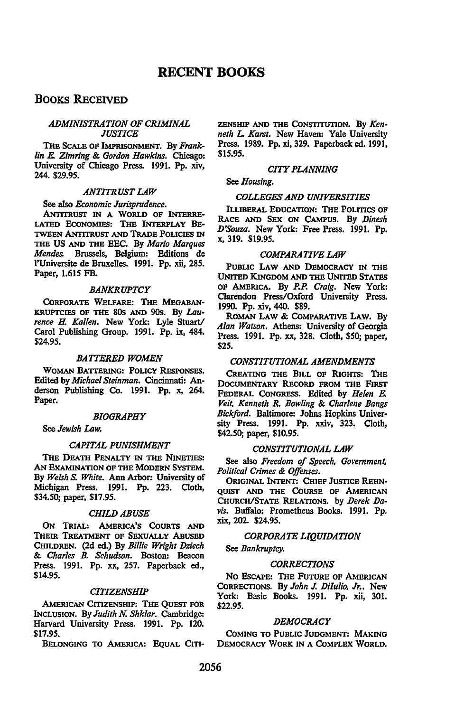# **RECENT BOOKS**

# BOOKS RECEIVED

# *ADMINISTRATION OF CRIMINAL JUSTICE*

THE SCALE OF IMPRISONMENT. By *Franklin E. Zimring* & *Gordon Hawkins.* Chicago: University of Chicago Press. 1991. Pp. xiv, 244. \$29.95.

# *ANTITRUST LAW*

See also *Economic Jurisprudence.* 

ANnTRusr IN A WORLD OF INTERRE-LATED EcoNOMIES: THE INTERPLAY BE-TWEEN ANTITRUST AND TRADE POLICIES IN THE US AND THE EEC. By *Mario Marques Mendes.* Brussels, Belgium: Editions de l'Universite de Bruxelles. 1991. Pp. xii, 285. Paper, 1.615 FB.

# *BANKRUPTCY*

CoRPORATE WELFARE: THE MEGABAN-KRUPTCIES OF THE 80s AND 90s. By *Laurence* H. *Kallen.* New York: Lyle Stuart/ Carol Publishing Group. 1991. Pp. ix, 484. \$24.95.

# *BATTERED WOMEN*

WOMAN BATTERING: POLICY RESPONSES. Edited by *Michael Steinman.* Cincinnati: Anderson Publishing Co. 1991. Pp. x, 264. Paper.

# *BIOGRAPHY*

See *Jewish Law.* 

#### *CAPITAL PUNISHMENT*

THE DEATH PENALTY IN THE NINETIES: AN ExAMINATION OF THE MODERN SYSTEM. By *Welsh S. White.* Ann Arbor: University of Michigan Press. 1991. Pp. 223. Cloth, \$34.50; paper, \$17.95.

#### *CHILD ABUSE*

ON TRIAL: AMERICA'S CoURTS AND THEIR TREATMENT OF SEXUALLY ABUSED CHILDREN. (2d ed.) By *Billie Wright Dziech*  & *Charles B. Schudson.* Boston: Beacon Press. 1991. Pp. xx, 257. Paperback ed., \$14.95.

# *CITIZENSHIP*

AMERICAN CITIZENSHIP: THE QUEsr FOR INCLUSION. By *Judith N. Shklar.* Cambridge: Harvard University Press. 1991. Pp. 120. \$17.95.

BELONGING TO AMERICA: EQUAL CITI-

ZENSHIP AND TIIE CoNsrITUTION. By *Kenneth L. Karst.* New Haven: Yale University Press. 1989. Pp. xi, 329. Paperback ed. 1991, \$15.95.

#### *CITY PLANNING*

See *Housing.* 

# *COLLEGES AND UNIVERSITIES*

ILLIBERAL EDUCATION: THE POLITICS OF RACE AND SEX ON CAMPUS. By *Dinesh D'Souza.* New York: Free Press. 1991. Pp. x, 319. \$19.95.

#### *COMPARATIVE LAW*

PUBLIC LAW AND DEMOCRACY IN THE UNITED KINGDOM AND THE UNITED STATES OF AMERICA. By *P.P. Craig.* New York: Clarendon Press/Oxford University Press. 1990. Pp. xiv, 440. \$89.

ROMAN LAW & COMPARATIVE LAW. BV *Alan Watson.* Athens: University of Georgia Press. 1991. Pp. xx, 328. Cloth, \$50; paper, \$25.

# *CONSTITUTIONAL AMENDMENTS*

CREATING TIIE BILL OF RIGHTS: THE DocUMENTARY REcORD FROM TIIE FIRsr FEDERAL CoNGRESS. Edited by *Helen E. Veit, Kenneth R. Bowling* & *Charlene Bangs Bickford.* Baltimore: Johns Hopkins University Press. 1991. Pp. xxiv, 323. Cloth, \$42.50; paper, \$10.95.

#### *CONSTITUTIONAL LAW*

See also *Freedom of Speech, Government, Political Crimes* & *Offenses.* 

ORIGINAL INTENT: CHIEF JUSTICE REHN-QUisr AND TIIE CoURSE OF AMERICAN CHURCH/STATE RELATIONS. by *Derek Da*vis. Buffalo: Prometheus Books. 1991. Pp. xix, 202. \$24.95.

# *CORPORATE LIQUIDATION*

See *Bankruptcy.* 

## *CORRECTIONS*

NO ESCAPE: THE FUTURE OF AMERICAN CoRRECTIONS. By *John* J. *Diiulio, Jr..* New York: Basic Books. 1991. Pp. xii, 301. \$22.95.

#### *DEMOCRACY*

CoMING TO PUBLIC JUDGMENT: MAKING DEMOCRACY WORK IN A CoMPLEX WORLD.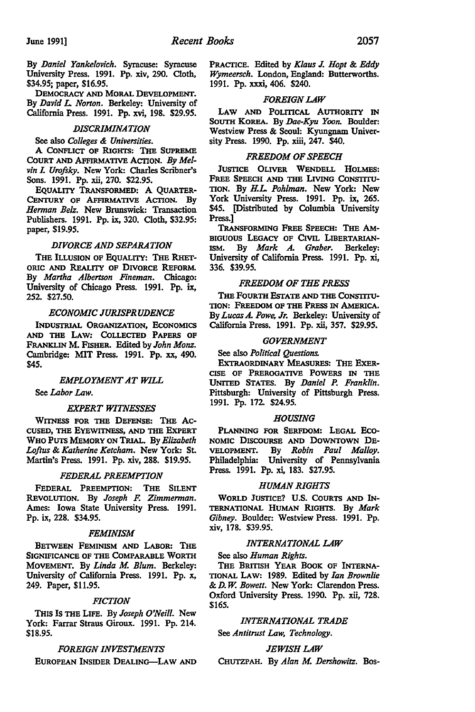By *Daniel Yankelovich.* Syracuse: Syracuse University Press. 1991. Pp. xiv, 290. Cloth, \$34.95; paper, \$16.95.

DEMOCRACY AND MORAL DEVELOPMENT. By *David* L. *Norton.* Berkeley: University of California Press. 1991. Pp. xvi, 198. \$29.95.

## *DISCRIMINATION*

### See also *Colleges* & *Universities.*

A CONFLICT OF RIGHTS: THE SUPREME COURT AND AFFIRMATIVE ACTION. By Melvin I. Urofsky. New York: Charles Scribner's Sons. 1991. Pp. xii, 270. \$22.95.

EQUALITY TRANSFORMED: A QUARTER-CENTURY OF AFFIRMATIVE ACTION. By *Hennan Belz.* New Brunswick: Transaction Publishers. 1991. Pp. ix, 320. Cloth, \$32.95: paper, \$19.95.

# *DIVORCE AND SEPARATION*

THE ILLUSION OF EQUALITY: THE RHET-ORIC AND REALITY OF DIVORCE REFORM. By *Martha Albertson Fineman.* Chicago: University of Chicago Press. 1991. Pp. ix, 252. \$27.50.

# *ECONOMIC JURISPRUDENCE*

INDUsrRIAL ORGANIZATION, EcONOMICS AND THE LAW: CoLLECTED PAPERS OF FRANKLIN M. FlsHER. Edited by *John Monz.*  Cambridge: MIT Press. 1991. Pp. xx, 490. \$45.

#### *EMPLOYMENT AT WILL*

See *Labor Law.* 

#### *EXPERT WITNESSES*

WITNESS FOR THE DEFENSE: THE AC-CUSED, THE EYEWITNESS, AND THE EXPERT WHO PUTS MEMORY ON TRIAL. By *Elizabeth Loftus* & *Katherine Ketcham.* New York: St. Martin's Press. 1991. Pp. xiv, 288. \$19.95.

#### *FEDERAL PREEMPTION*

FEDERAL PREEMPTION: THE SILENT REVOLUTION. By *Joseph* F. *Zimmennan.*  Ames: Iowa State University Press. 1991. Pp. ix, 228. \$34.95.

#### *FEMINISM*

BETWEEN FEMINISM AND LABOR: THE SIGNIFICANCE OF THE CoMPARABLE WORTH MOVEMENT. By Linda M. Blum. Berkeley: University of California Press. 1991. Pp. x, 249. Paper, \$11.95.

#### *FICTION*

THIS Is THE LIFE. By *Joseph O'Neill.* New York: Farrar Straus Giroux. 1991. Pp. 214. \$18.95.

# *FOREIGN INVESTMENTS*

EUROPEAN INSIDER DEALING-LAW AND

PRACTICE. Edited by *Klaus J. Hopt & Eddy Wymeersch.* London, England: Butterworths. 1991. Pp. xxxi, 406. \$240.

#### *FOREIGN LAW*

LAW AND POLITICAL AUTHORITY IN SoUTH KOREA. By *Dae-Kyu Yoon.* Boulder: Westview Press & Seoul: Kyungnam University Press. 1990. Pp. xiii, 247. \$40.

#### *FREEDOM OF SPEECH*

JUSTICE OLIVER WENDELL HOLMES: FREE SPEECH AND THE LIVING CONSTITU-TION. By H.L. *Pohlman.* New York: New York University Press. 1991. Pp. ix, 265. \$45. [Distributed by Columbia University Press.]

TRANSFORMING FREE SPEECH: THE AM-BIGUOUS LEGACY OF CIVIL LIBERTARIAN-ISM. By *Mark A. Graber.* Berkeley: University of California Press. 1991. Pp. xi, 336. \$39.95.

# *FREEDOM OF THE PRESS*

THE FOURTH EsTATE AND THE CoNSTITU-TION: FREEDOM OF THE PREss IN AMERICA. By *Lucas* A. *Powe, Jr.* Berkeley: University of California Press. 1991. Pp. xii, 357. \$29.95.

# *GOVERNMENT*

## See also *Political Questions.*

ExTRAORDINARY MEAsURES: THE ExER-CISE OF PREROGATIVE POWERS IN THE UNITED STATES. By *Daniel P. Franklin.*  Pittsburgh: University of Pittsburgh Press. 1991. Pp. 172 \$24.95.

#### *HOUSING*

PLANNING FOR SERFDOM: LEGAL Eco-NOMIC DISCOURSE AND DOWNTOWN DE-VELOPMENT. By *Robin Paul Malloy.*  Philadelphia: University of Pennsylvania Press. 1991. Pp. xi, 183. \$27.95.

# *HUMAN RIGHTS*

WORLD JUSTICE? U.S. CoURTS AND IN-TERNATIONAL HUMAN RIGHTS. By Mark *Gibney.* Boulder: Westview Press. 1991. Pp. xiv, 178. \$39.95.

#### *INTERNATIONAL LAW*

#### See also *Human Rights.*

THE BRITISH YEAR BOOK OF INTERNA-TIONAL LAW: 1989. Edited by *Ian Brownlie*  & *D. W. Bowell.* New York: Clarendon Press. Oxford University Press. 1990. Pp. xii, 728. \$165.

# *INTERNATIONAL TRADE*

See *Antitrust Law, Technology.* 

#### *JEWISH LAW*

CHUTZPAH. By Alan M. Dershowitz. Bos-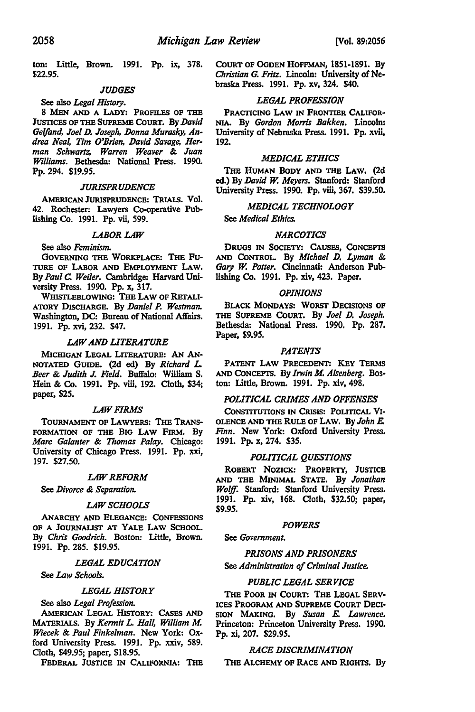ton: Little, Brown. 1991. Pp. ix, 378. \$22.95.

# **JUDGES**

See also Legal History. 8 MEN AND A LADY: PROFILES OF THE JUSTICES OF THE SUPREME COURT. By David Gelfand, Joel D. Joseph, Donna Murasky, Andrea Neal, Tim O'Brien, David Savage, Herman Schwartz, Warren Weaver & Juan Williams. Bethesda: National Press. 1990. Pp. 294. \$19.95.

#### **JURISPRUDENCE**

AMERICAN JURISPRUDENCE: TRIALS. Vol. 42. Rochester: Lawyers Co-operative Publishing Co. 1991. Pp. vii, 599.

#### **LABOR LAW**

# See also Feminism.

GOVERNING THE WORKPLACE: THE FU-TURE OF LABOR AND EMPLOYMENT LAW. By Paul C. Weiler. Cambridge: Harvard University Press. 1990. Pp. x, 317.

WHISTLEBLOWING: THE LAW OF RETALI-ATORY DISCHARGE. By Daniel P. Westman. Washington, DC: Bureau of National Affairs. 1991. Pp. xvi, 232. \$47.

## **LAW AND LITERATURE**

MICHIGAN LEGAL LITERATURE: AN AN-NOTATED GUIDE. (2d ed) By Richard L. Beer & Judith J. Field. Buffalo: William S. Hein & Co. 1991. Pp. viii, 192. Cloth, \$34; paper, \$25.

#### **LAW FIRMS**

TOURNAMENT OF LAWYERS: THE TRANS-FORMATION OF THE BIG LAW FIRM. By Marc Galanter & Thomas Palay. Chicago: University of Chicago Press. 1991. Pp. xxi, 197. \$27.50.

## **LAW REFORM**

See Divorce & Separation.

# **LAW SCHOOLS**

ANARCHY AND ELEGANCE: CONFESSIONS OF A JOURNALIST AT YALE LAW SCHOOL. By Chris Goodrich. Boston: Little, Brown. 1991. Pp. 285. \$19.95.

#### **LEGAL EDUCATION**

# See Law Schools.

#### **LEGAL HISTORY**

See also Legal Profession.

AMERICAN LEGAL HISTORY: CASES AND MATERIALS. By Kermit L. Hall, William M. Wiecek & Paul Finkelman. New York: Oxford University Press. 1991. Pp. xxiv, 589. Cloth, \$49.95; paper, \$18.95.

FEDERAL JUSTICE IN CALIFORNIA: THE

COURT OF OGDEN HOFFMAN, 1851-1891. By Christian G. Fritz. Lincoln: University of Nebraska Press. 1991. Pp. xv, 324. \$40.

# **LEGAL PROFESSION**

PRACTICING LAW IN FRONTIER CALIFOR-NIA. By Gordon Morris Bakken. Lincoln: University of Nebraska Press. 1991. Pp. xvii, 192.

#### **MEDICAL ETHICS**

THE HUMAN BODY AND THE LAW. (2d ed.) By David W. Meyers. Stanford: Stanford University Press. 1990. Pp. viii, 367. \$39.50.

# **MEDICAL TECHNOLOGY**

See Medical Ethics.

# **NARCOTICS**

DRUGS IN SOCIETY: CAUSES, CONCEPTS AND CONTROL. By Michael D. Lyman & Gary W. Potter. Cincinnati: Anderson Publishing Co. 1991. Pp. xiv, 423. Paper.

#### **OPINIONS**

BLACK MONDAYS: WORST DECISIONS OF THE SUPREME COURT. By Joel D. Joseph. Bethesda: National Press. 1990. Pp. 287. Paper, \$9.95.

# **PATENTS**

PATENT LAW PRECEDENT: KEY TERMS AND CONCEPTS. By Irwin M. Aisenberg. Boston: Little, Brown. 1991. Pp. xiv, 498.

# POLITICAL CRIMES AND OFFENSES

CONSTITUTIONS IN CRISIS: POLITICAL VI-OLENCE AND THE RULE OF LAW. By John E. Finn. New York: Oxford University Press. 1991. Pp. x, 274. \$35.

# POLITICAL QUESTIONS

ROBERT NOZICK: PROPERTY, JUSTICE AND THE MINIMAL STATE. By Jonathan Wolff. Stanford: Stanford University Press. 1991. Pp. xiv, 168. Cloth, \$32.50; paper, \$9.95.

#### **POWERS**

See Government.

#### **PRISONS AND PRISONERS**

See Administration of Criminal Justice.

#### **PUBLIC LEGAL SERVICE**

THE POOR IN COURT: THE LEGAL SERV-ICES PROGRAM AND SUPREME COURT DECI-SION MAKING. By Susan E. Lawrence. Princeton: Princeton University Press. 1990. Pp. xi, 207. \$29.95.

# RACE DISCRIMINATION

THE ALCHEMY OF RACE AND RIGHTS. By